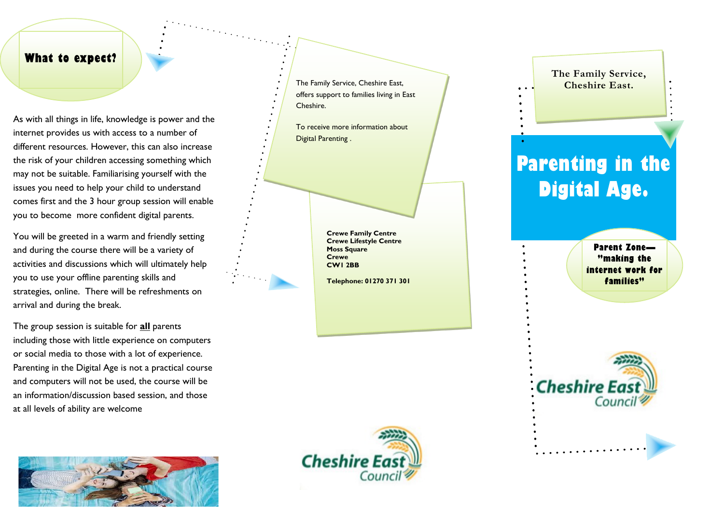#### **What to expect?**

As with all things in life, knowledge is power and the internet provides us with access to a number of different resources. However, this can also increase the risk of your children accessing something which may not be suitable. Familiarising yourself with the issues you need to help your child to understand comes first and the 3 hour group session will enable you to become more confident digital parents.

You will be greeted in a warm and friendly setting and during the course there will be a variety of activities and discussions which will ultimately help you to use your offline parenting skills and strategies, online. There will be refreshments on arrival and during the break.

The group session is suitable for **all** parents including those with little experience on computers or social media to those with a lot of experience. Parenting in the Digital Age is not a practical course and computers will not be used, the course will be an information/discussion based session, and those at all levels of ability are welcome



The Family Service, Cheshire East, offers support to families living in East Cheshire.

To receive more information about Digital Parenting .

> **Crewe Family Centre Crewe Lifestyle Centre Moss Square Crewe CW1 2BB**

**Telephone: 01270 371 301**



### **The Family Service, Cheshire East.**

# **Parenting in the Digital Age.**

**Parent Zone — "making the internet work for families"**